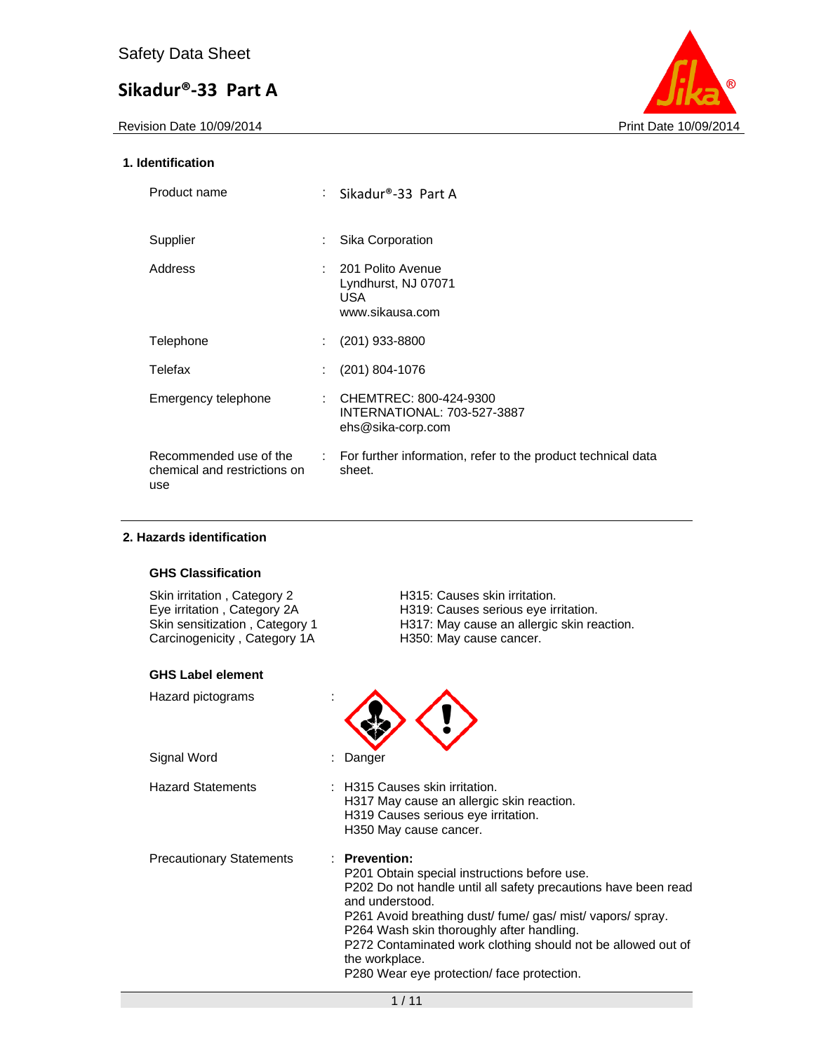Revision Date 10/09/2014 **Print Date 10/09/2014** 



### **1. Identification**

| Product name                                                  |                             | : Sikadur®-33 Part A                                                       |
|---------------------------------------------------------------|-----------------------------|----------------------------------------------------------------------------|
| Supplier                                                      | ÷                           | Sika Corporation                                                           |
| Address                                                       | t.                          | 201 Polito Avenue<br>Lyndhurst, NJ 07071<br><b>USA</b><br>www.sikausa.com  |
| Telephone                                                     |                             | $(201)$ 933-8800                                                           |
| Telefax                                                       |                             | $(201)$ 804-1076                                                           |
| Emergency telephone                                           | ÷                           | CHEMTREC: 800-424-9300<br>INTERNATIONAL: 703-527-3887<br>ehs@sika-corp.com |
| Recommended use of the<br>chemical and restrictions on<br>use | $\mathcal{L}^{\mathcal{L}}$ | For further information, refer to the product technical data<br>sheet.     |

### **2. Hazards identification**

### **GHS Classification**

Skin irritation, Category 2 **H315: Causes skin irritation**. Carcinogenicity, Category 1A H350: May cause cancer.

#### **GHS Label element**

H319: Causes serious eye irritation. H317: May cause an allergic skin reaction.<br>H350: May cause cancer.

| Hazard pictograms               |                                                                                                                                                                                                                                                                                                                                                                                           |
|---------------------------------|-------------------------------------------------------------------------------------------------------------------------------------------------------------------------------------------------------------------------------------------------------------------------------------------------------------------------------------------------------------------------------------------|
| Signal Word                     | : Danger                                                                                                                                                                                                                                                                                                                                                                                  |
| <b>Hazard Statements</b>        | : H315 Causes skin irritation.<br>H317 May cause an allergic skin reaction.<br>H319 Causes serious eye irritation.<br>H350 May cause cancer.                                                                                                                                                                                                                                              |
| <b>Precautionary Statements</b> | $:$ Prevention:<br>P201 Obtain special instructions before use.<br>P202 Do not handle until all safety precautions have been read<br>and understood.<br>P261 Avoid breathing dust/fume/gas/mist/vapors/spray.<br>P264 Wash skin thoroughly after handling.<br>P272 Contaminated work clothing should not be allowed out of<br>the workplace.<br>P280 Wear eye protection/face protection. |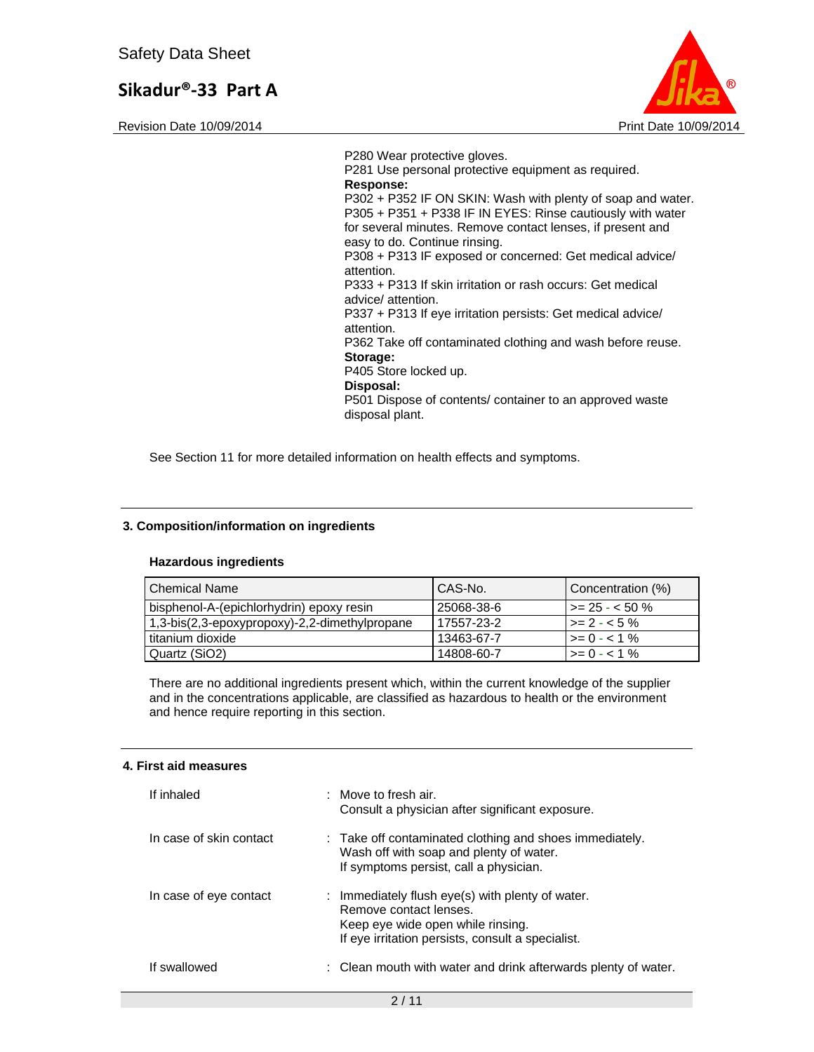Revision Date 10/09/2014 **Print Date 10/09/2014** Print Date 10/09/2014



P280 Wear protective gloves. P281 Use personal protective equipment as required. **Response:**  P302 + P352 IF ON SKIN: Wash with plenty of soap and water. P305 + P351 + P338 IF IN EYES: Rinse cautiously with water for several minutes. Remove contact lenses, if present and easy to do. Continue rinsing. P308 + P313 IF exposed or concerned: Get medical advice/ attention. P333 + P313 If skin irritation or rash occurs: Get medical advice/ attention. P337 + P313 If eye irritation persists: Get medical advice/ attention. P362 Take off contaminated clothing and wash before reuse. **Storage:**  P405 Store locked up. **Disposal:**  P501 Dispose of contents/ container to an approved waste disposal plant.

See Section 11 for more detailed information on health effects and symptoms.

### **3. Composition/information on ingredients**

#### **Hazardous ingredients**

| l Chemical Name                               | CAS-No.    | Concentration (%)       |
|-----------------------------------------------|------------|-------------------------|
| bisphenol-A-(epichlorhydrin) epoxy resin      | 25068-38-6 | $\vert$ >= 25 - < 50 %  |
| 1,3-bis(2,3-epoxypropoxy)-2,2-dimethylpropane | 17557-23-2 | $\vert$ >= 2 - < 5 %    |
| titanium dioxide                              | 13463-67-7 | $\rightarrow = 0 - 1$ % |
| Quartz (SiO2)                                 | 14808-60-7 | $\geq$ 0 - < 1 %        |

There are no additional ingredients present which, within the current knowledge of the supplier and in the concentrations applicable, are classified as hazardous to health or the environment and hence require reporting in this section.

#### **4. First aid measures**

| If inhaled              | $\therefore$ Move to fresh air.<br>Consult a physician after significant exposure.                                                                                   |
|-------------------------|----------------------------------------------------------------------------------------------------------------------------------------------------------------------|
| In case of skin contact | : Take off contaminated clothing and shoes immediately.<br>Wash off with soap and plenty of water.<br>If symptoms persist, call a physician.                         |
| In case of eye contact  | : Immediately flush eye(s) with plenty of water.<br>Remove contact lenses.<br>Keep eye wide open while rinsing.<br>If eye irritation persists, consult a specialist. |
| If swallowed            | : Clean mouth with water and drink afterwards plenty of water.                                                                                                       |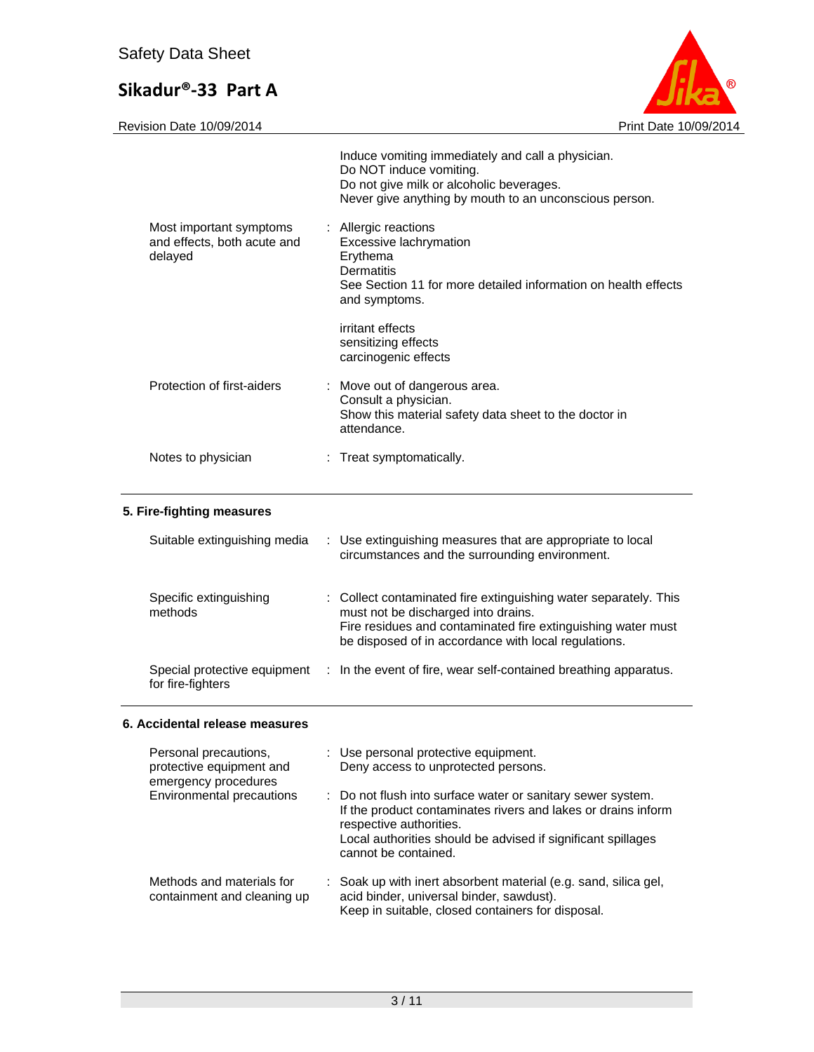

|                                                                   | Induce vomiting immediately and call a physician.<br>Do NOT induce vomiting.<br>Do not give milk or alcoholic beverages.<br>Never give anything by mouth to an unconscious person. |
|-------------------------------------------------------------------|------------------------------------------------------------------------------------------------------------------------------------------------------------------------------------|
| Most important symptoms<br>and effects, both acute and<br>delayed | : Allergic reactions<br>Excessive lachrymation<br>Erythema<br><b>Dermatitis</b><br>See Section 11 for more detailed information on health effects<br>and symptoms.                 |
|                                                                   | irritant effects<br>sensitizing effects<br>carcinogenic effects                                                                                                                    |
| Protection of first-aiders                                        | : Move out of dangerous area.<br>Consult a physician.<br>Show this material safety data sheet to the doctor in<br>attendance.                                                      |
| Notes to physician                                                | Treat symptomatically.                                                                                                                                                             |
|                                                                   |                                                                                                                                                                                    |

# **5. Fire-fighting measures**

| Suitable extinguishing media                      | : Use extinguishing measures that are appropriate to local<br>circumstances and the surrounding environment.                                                                                                                    |
|---------------------------------------------------|---------------------------------------------------------------------------------------------------------------------------------------------------------------------------------------------------------------------------------|
| Specific extinguishing<br>methods                 | : Collect contaminated fire extinguishing water separately. This<br>must not be discharged into drains.<br>Fire residues and contaminated fire extinguishing water must<br>be disposed of in accordance with local regulations. |
| Special protective equipment<br>for fire-fighters | : In the event of fire, wear self-contained breathing apparatus.                                                                                                                                                                |

## **6. Accidental release measures**

| Personal precautions,<br>protective equipment and<br>emergency procedures | : Use personal protective equipment.<br>Deny access to unprotected persons.                                                                                                                                                                     |
|---------------------------------------------------------------------------|-------------------------------------------------------------------------------------------------------------------------------------------------------------------------------------------------------------------------------------------------|
| Environmental precautions                                                 | : Do not flush into surface water or sanitary sewer system.<br>If the product contaminates rivers and lakes or drains inform<br>respective authorities.<br>Local authorities should be advised if significant spillages<br>cannot be contained. |
| Methods and materials for<br>containment and cleaning up                  | : Soak up with inert absorbent material (e.g. sand, silica gel,<br>acid binder, universal binder, sawdust).<br>Keep in suitable, closed containers for disposal.                                                                                |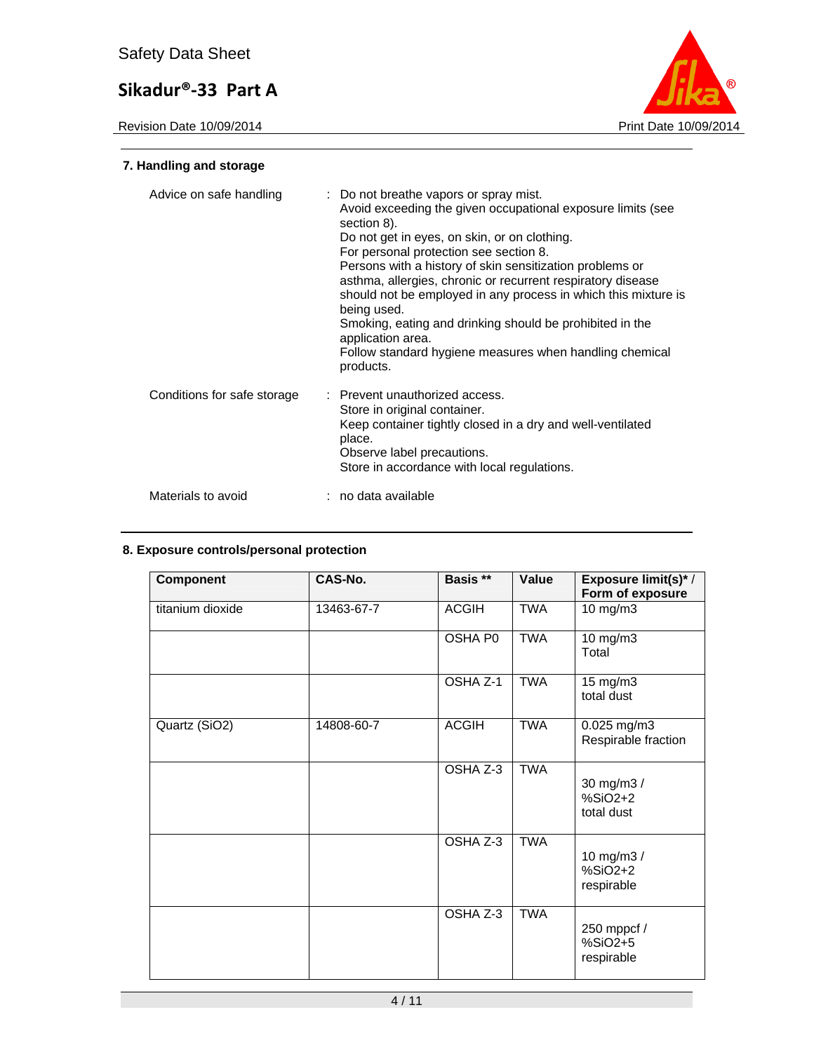

# **7. Handling and storage**

| Advice on safe handling     | : Do not breathe vapors or spray mist.<br>Avoid exceeding the given occupational exposure limits (see<br>section 8).<br>Do not get in eyes, on skin, or on clothing.<br>For personal protection see section 8.<br>Persons with a history of skin sensitization problems or<br>asthma, allergies, chronic or recurrent respiratory disease<br>should not be employed in any process in which this mixture is<br>being used.<br>Smoking, eating and drinking should be prohibited in the<br>application area.<br>Follow standard hygiene measures when handling chemical<br>products. |
|-----------------------------|-------------------------------------------------------------------------------------------------------------------------------------------------------------------------------------------------------------------------------------------------------------------------------------------------------------------------------------------------------------------------------------------------------------------------------------------------------------------------------------------------------------------------------------------------------------------------------------|
| Conditions for safe storage | : Prevent unauthorized access.<br>Store in original container.<br>Keep container tightly closed in a dry and well-ventilated<br>place.<br>Observe label precautions.<br>Store in accordance with local regulations.                                                                                                                                                                                                                                                                                                                                                                 |
| Materials to avoid          | : no data available                                                                                                                                                                                                                                                                                                                                                                                                                                                                                                                                                                 |

## **8. Exposure controls/personal protection**

| <b>Component</b> | CAS-No.    | Basis **     | Value      | Exposure limit(s)*/<br>Form of exposure |
|------------------|------------|--------------|------------|-----------------------------------------|
| titanium dioxide | 13463-67-7 | <b>ACGIH</b> | <b>TWA</b> | 10 mg/m3                                |
|                  |            | OSHA P0      | <b>TWA</b> | 10 mg/m3<br>Total                       |
|                  |            | OSHA Z-1     | <b>TWA</b> | 15 mg/m3<br>total dust                  |
| Quartz (SiO2)    | 14808-60-7 | <b>ACGIH</b> | <b>TWA</b> | 0.025 mg/m3<br>Respirable fraction      |
|                  |            | OSHA Z-3     | <b>TWA</b> | 30 mg/m3 /<br>$%SiO2+2$<br>total dust   |
|                  |            | OSHA Z-3     | <b>TWA</b> | 10 mg/m3 /<br>$%SiO2+2$<br>respirable   |
|                  |            | OSHA Z-3     | <b>TWA</b> | 250 mppcf /<br>%SiO2+5<br>respirable    |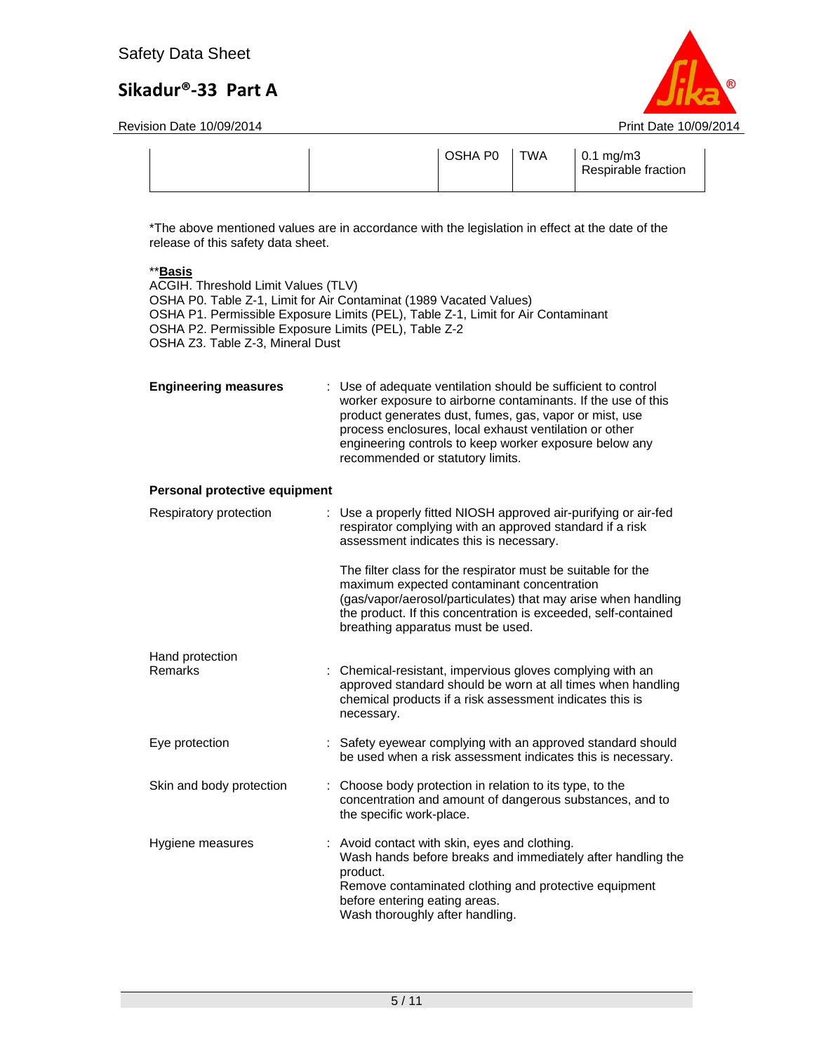Revision Date 10/09/2014 **Print Date 10/09/2014** Print Date 10/09/2014



|  |  | OSHA P0 | <b>TWA</b> | $0.1 \text{ mg/m}$ 3<br>Respirable fraction |
|--|--|---------|------------|---------------------------------------------|
|--|--|---------|------------|---------------------------------------------|

\*The above mentioned values are in accordance with the legislation in effect at the date of the release of this safety data sheet.

### \*\***Basis**

ACGIH. Threshold Limit Values (TLV) OSHA P0. Table Z-1, Limit for Air Contaminat (1989 Vacated Values) OSHA P1. Permissible Exposure Limits (PEL), Table Z-1, Limit for Air Contaminant OSHA P2. Permissible Exposure Limits (PEL), Table Z-2 OSHA Z3. Table Z-3, Mineral Dust

| <b>Engineering measures</b> | : Use of adequate ventilation should be sufficient to control<br>worker exposure to airborne contaminants. If the use of this<br>product generates dust, fumes, gas, vapor or mist, use<br>process enclosures, local exhaust ventilation or other<br>engineering controls to keep worker exposure below any<br>recommended or statutory limits. |
|-----------------------------|-------------------------------------------------------------------------------------------------------------------------------------------------------------------------------------------------------------------------------------------------------------------------------------------------------------------------------------------------|
|                             |                                                                                                                                                                                                                                                                                                                                                 |

#### **Personal protective equipment**

| Respiratory protection   | : Use a properly fitted NIOSH approved air-purifying or air-fed<br>respirator complying with an approved standard if a risk<br>assessment indicates this is necessary.                                                                                                             |
|--------------------------|------------------------------------------------------------------------------------------------------------------------------------------------------------------------------------------------------------------------------------------------------------------------------------|
|                          | The filter class for the respirator must be suitable for the<br>maximum expected contaminant concentration<br>(gas/vapor/aerosol/particulates) that may arise when handling<br>the product. If this concentration is exceeded, self-contained<br>breathing apparatus must be used. |
| Hand protection          |                                                                                                                                                                                                                                                                                    |
| Remarks                  | : Chemical-resistant, impervious gloves complying with an<br>approved standard should be worn at all times when handling<br>chemical products if a risk assessment indicates this is<br>necessary.                                                                                 |
| Eye protection           | : Safety eyewear complying with an approved standard should<br>be used when a risk assessment indicates this is necessary.                                                                                                                                                         |
| Skin and body protection | : Choose body protection in relation to its type, to the<br>concentration and amount of dangerous substances, and to<br>the specific work-place.                                                                                                                                   |
| Hygiene measures         | : Avoid contact with skin, eyes and clothing.<br>Wash hands before breaks and immediately after handling the<br>product.<br>Remove contaminated clothing and protective equipment<br>before entering eating areas.<br>Wash thoroughly after handling.                              |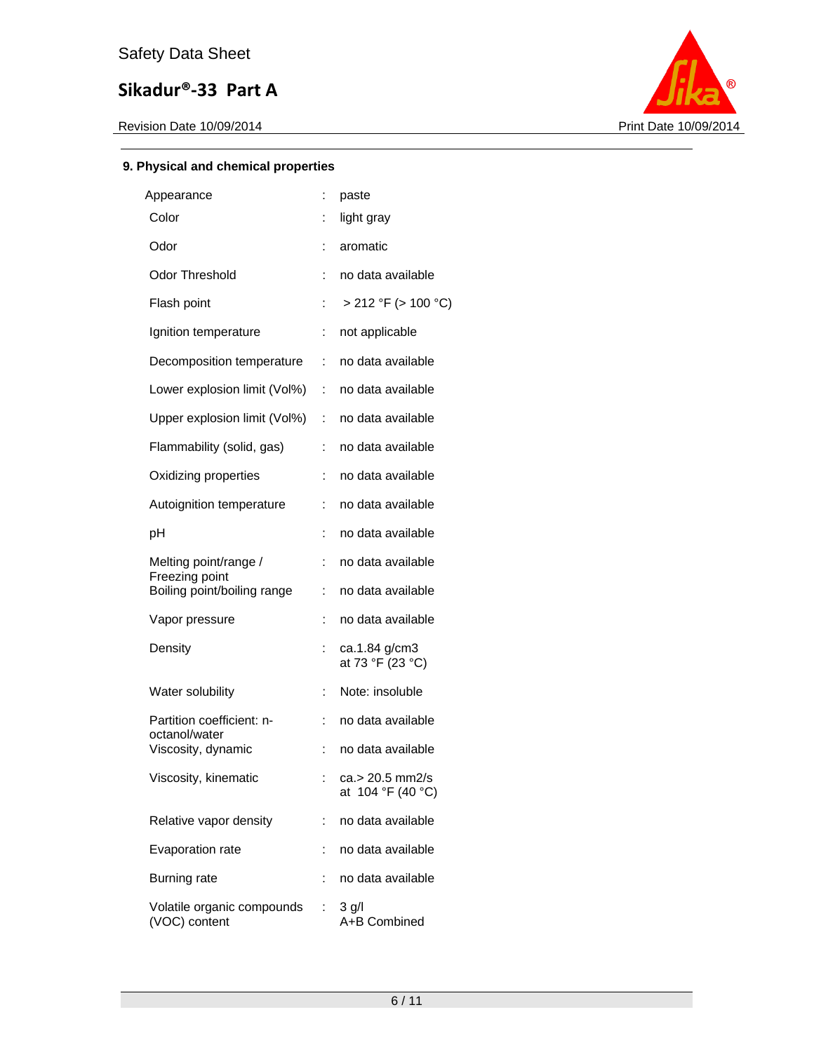

## **9. Physical and chemical properties**

| Appearance                                    | ÷  | paste                                |
|-----------------------------------------------|----|--------------------------------------|
| Color                                         |    | light gray                           |
| Odor                                          | t. | aromatic                             |
| Odor Threshold                                | ÷  | no data available                    |
| Flash point                                   | ÷  | $> 212$ °F ( $> 100$ °C)             |
| Ignition temperature                          | ÷  | not applicable                       |
| Decomposition temperature                     | ÷  | no data available                    |
| Lower explosion limit (Vol%)                  | t. | no data available                    |
| Upper explosion limit (Vol%)                  | ÷  | no data available                    |
| Flammability (solid, gas)                     | ÷  | no data available                    |
| Oxidizing properties                          | ÷  | no data available                    |
| Autoignition temperature                      | ÷  | no data available                    |
| рH                                            | ÷  | no data available                    |
| Melting point/range /                         | ÷  | no data available                    |
| Freezing point<br>Boiling point/boiling range | ÷  | no data available                    |
| Vapor pressure                                |    | no data available                    |
| Density                                       | ÷  | ca.1.84 g/cm3<br>at 73 °F (23 °C)    |
| Water solubility                              | ÷  | Note: insoluble                      |
| Partition coefficient: n-<br>octanol/water    | ÷  | no data available                    |
| Viscosity, dynamic                            | ÷  | no data available                    |
| Viscosity, kinematic                          | ÷  | ca.> 20.5 mm2/s<br>at 104 °F (40 °C) |
| Relative vapor density                        | ÷  | no data available                    |
| Evaporation rate                              | t. | no data available                    |
| <b>Burning rate</b>                           | ÷  | no data available                    |
| Volatile organic compounds<br>(VOC) content   | ÷  | $3$ g/l<br>A+B Combined              |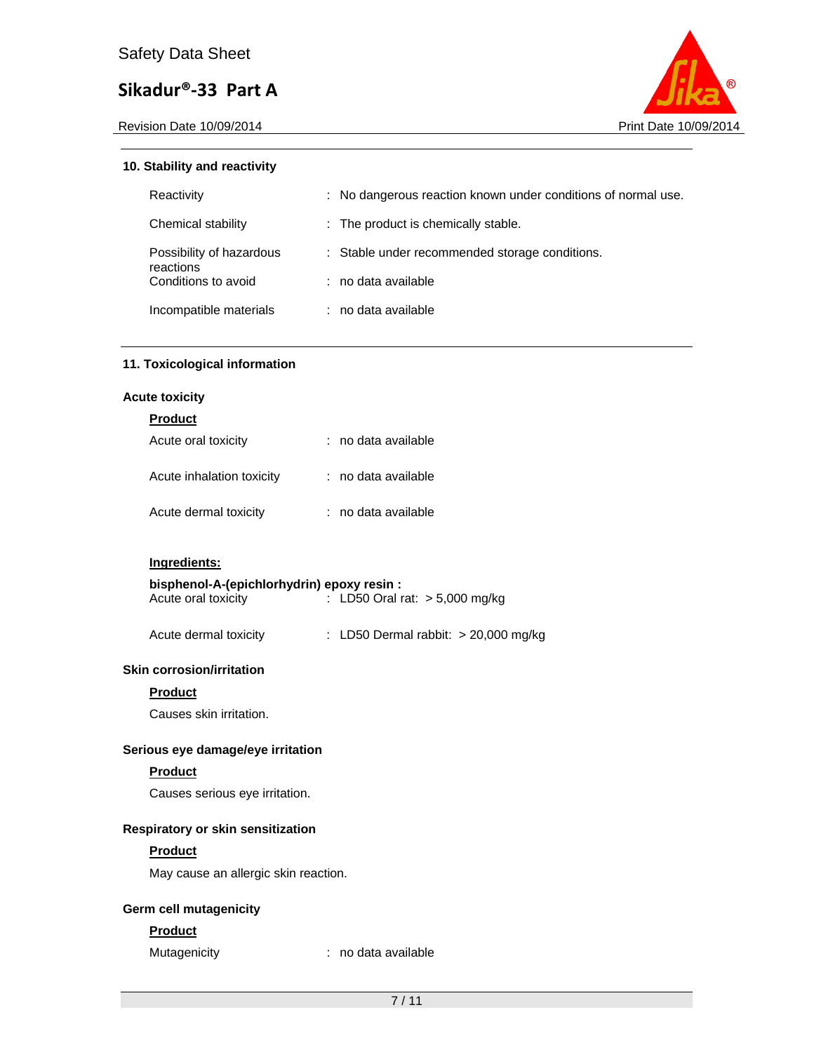Revision Date 10/09/2014 **Print Date 10/09/2014** Print Date 10/09/2014



### **10. Stability and reactivity**

| Reactivity                            | : No dangerous reaction known under conditions of normal use. |  |
|---------------------------------------|---------------------------------------------------------------|--|
| Chemical stability                    | : The product is chemically stable.                           |  |
| Possibility of hazardous<br>reactions | : Stable under recommended storage conditions.                |  |
| Conditions to avoid                   | : no data available                                           |  |
| Incompatible materials                | ∶ no data available                                           |  |

### **11. Toxicological information**

#### **Acute toxicity**

## **Product**

| Acute oral toxicity       | : no data available |
|---------------------------|---------------------|
| Acute inhalation toxicity | : no data available |
| Acute dermal toxicity     | : no data available |

## **Ingredients:**

| bisphenol-A-(epichlorhydrin) epoxy resin : |                                  |
|--------------------------------------------|----------------------------------|
| Acute oral toxicity                        | : LD50 Oral rat: $> 5,000$ mg/kg |

| Acute dermal toxicity | : LD50 Dermal rabbit: > 20,000 mg/kg |  |
|-----------------------|--------------------------------------|--|
|                       |                                      |  |

### **Skin corrosion/irritation**

#### **Product**

Causes skin irritation.

#### **Serious eye damage/eye irritation**

#### **Product**

# Causes serious eye irritation.

## **Respiratory or skin sensitization**

### **Product**

May cause an allergic skin reaction.

### **Germ cell mutagenicity**

### **Product**

Mutagenicity **interpretent in the Contract of the Mutagenicity**  $\cdot$  no data available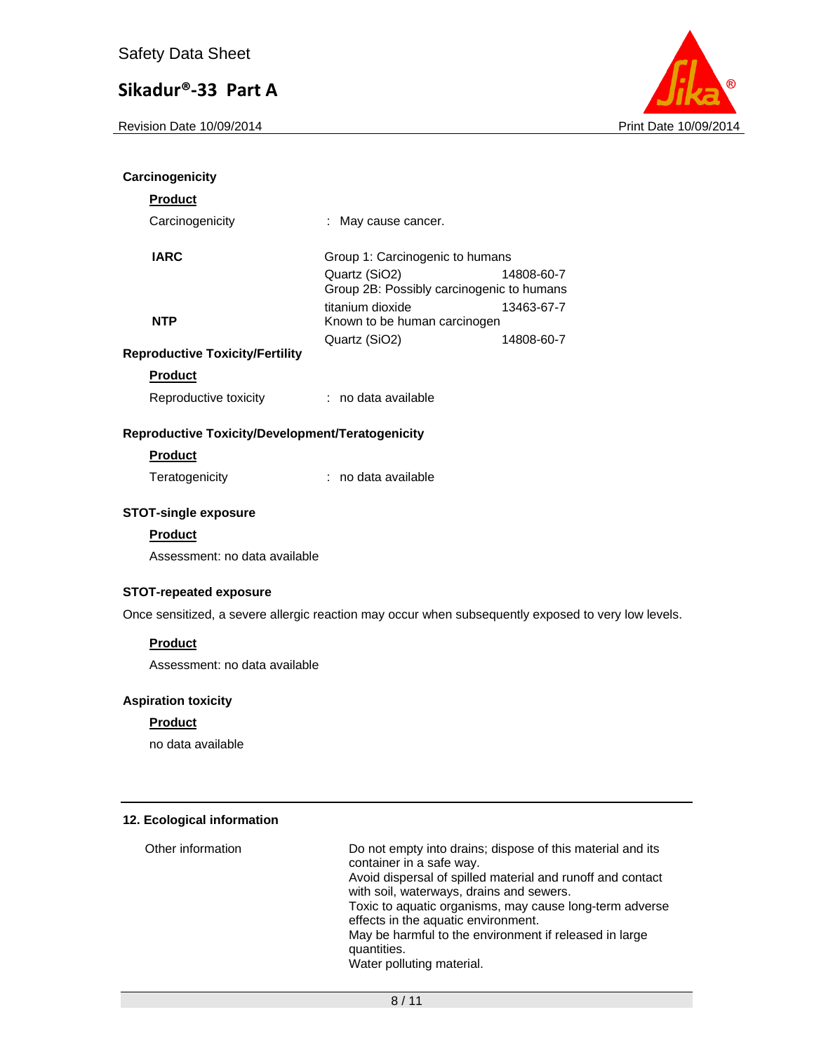Revision Date 10/09/2014 **Print Date 10/09/2014** Print Date 10/09/2014



| Carcinogenicity                                                                                     |                                                            |            |
|-----------------------------------------------------------------------------------------------------|------------------------------------------------------------|------------|
| <b>Product</b>                                                                                      |                                                            |            |
| Carcinogenicity                                                                                     | : May cause cancer.                                        |            |
| <b>IARC</b>                                                                                         | Group 1: Carcinogenic to humans                            |            |
|                                                                                                     | Quartz (SiO2)<br>Group 2B: Possibly carcinogenic to humans | 14808-60-7 |
|                                                                                                     | titanium dioxide                                           | 13463-67-7 |
| <b>NTP</b>                                                                                          | Known to be human carcinogen                               |            |
|                                                                                                     | Quartz (SiO2)                                              | 14808-60-7 |
| <b>Reproductive Toxicity/Fertility</b>                                                              |                                                            |            |
| <b>Product</b>                                                                                      |                                                            |            |
| Reproductive toxicity                                                                               | : no data available                                        |            |
| Reproductive Toxicity/Development/Teratogenicity                                                    |                                                            |            |
| <b>Product</b>                                                                                      |                                                            |            |
| Teratogenicity                                                                                      | : no data available                                        |            |
| <b>STOT-single exposure</b>                                                                         |                                                            |            |
| <b>Product</b>                                                                                      |                                                            |            |
| Assessment: no data available                                                                       |                                                            |            |
|                                                                                                     |                                                            |            |
| <b>STOT-repeated exposure</b>                                                                       |                                                            |            |
| Once sensitized, a severe allergic reaction may occur when subsequently exposed to very low levels. |                                                            |            |
| <b>Product</b>                                                                                      |                                                            |            |
| Assessment: no data available                                                                       |                                                            |            |
|                                                                                                     |                                                            |            |
| <b>Aspiration toxicity</b>                                                                          |                                                            |            |
| <b>Product</b>                                                                                      |                                                            |            |
| no data available                                                                                   |                                                            |            |
|                                                                                                     |                                                            |            |
|                                                                                                     |                                                            |            |

## **12. Ecological information**

Other information Do not empty into drains; dispose of this material and its container in a safe way. Avoid dispersal of spilled material and runoff and contact with soil, waterways, drains and sewers. Toxic to aquatic organisms, may cause long-term adverse effects in the aquatic environment. May be harmful to the environment if released in large quantities. Water polluting material.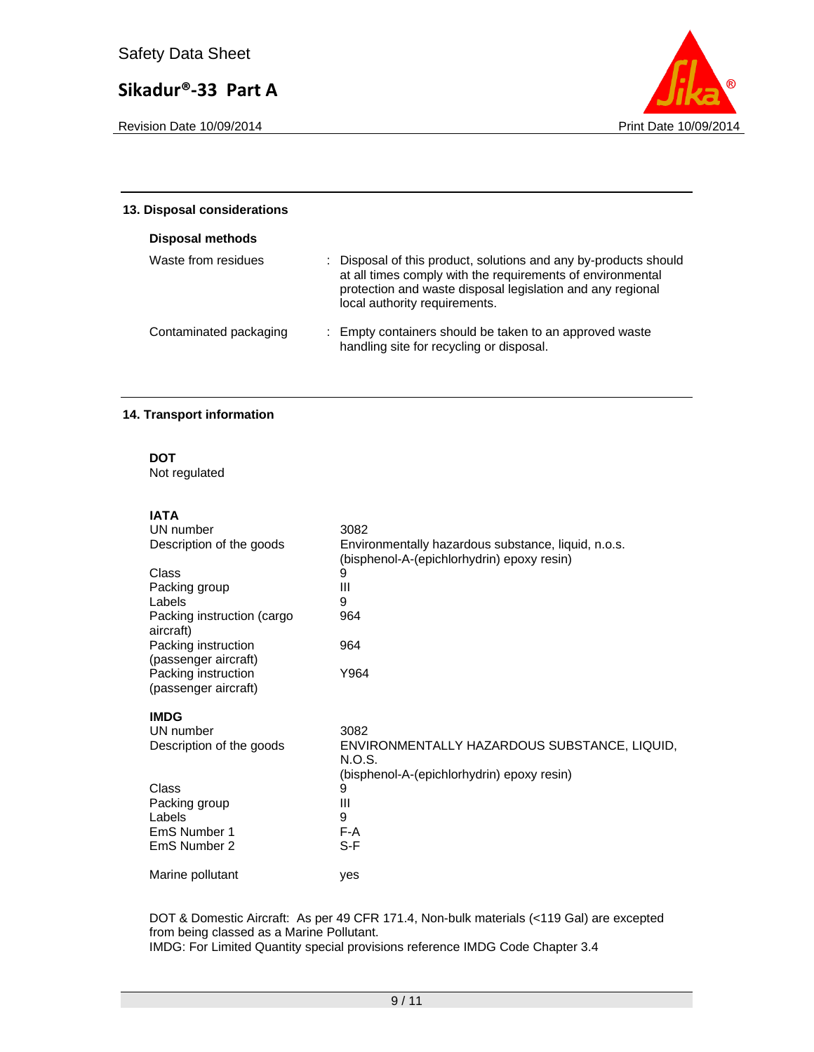Revision Date 10/09/2014 **Print Date 10/09/2014** 



| 13. Disposal considerations |                                                                                                                                                                                                                               |
|-----------------------------|-------------------------------------------------------------------------------------------------------------------------------------------------------------------------------------------------------------------------------|
| Disposal methods            |                                                                                                                                                                                                                               |
| Waste from residues         | : Disposal of this product, solutions and any by-products should<br>at all times comply with the requirements of environmental<br>protection and waste disposal legislation and any regional<br>local authority requirements. |
| Contaminated packaging      | : Empty containers should be taken to an approved waste<br>handling site for recycling or disposal.                                                                                                                           |

#### **14. Transport information**

**DOT** 

Not regulated

# **IATA**

| UN number                                   | 3082                                                                                                 |
|---------------------------------------------|------------------------------------------------------------------------------------------------------|
| Description of the goods                    | Environmentally hazardous substance, liquid, n.o.s.<br>(bisphenol-A-(epichlorhydrin) epoxy resin)    |
| Class                                       | 9                                                                                                    |
| Packing group                               | Ш                                                                                                    |
| Labels                                      | 9                                                                                                    |
| Packing instruction (cargo<br>aircraft)     | 964                                                                                                  |
| Packing instruction<br>(passenger aircraft) | 964                                                                                                  |
| Packing instruction<br>(passenger aircraft) | Y964                                                                                                 |
| <b>IMDG</b>                                 |                                                                                                      |
| UN number                                   | 3082                                                                                                 |
| Description of the goods                    | ENVIRONMENTALLY HAZARDOUS SUBSTANCE, LIQUID,<br>N.O.S.<br>(bisphenol-A-(epichlorhydrin) epoxy resin) |
| Class                                       | 9                                                                                                    |
| Packing group                               | Ш                                                                                                    |
| Labels                                      | 9                                                                                                    |
| EmS Number 1                                | F-A                                                                                                  |
| EmS Number 2                                | S-F                                                                                                  |
| Marine pollutant                            | ves                                                                                                  |

DOT & Domestic Aircraft: As per 49 CFR 171.4, Non-bulk materials (<119 Gal) are excepted from being classed as a Marine Pollutant. IMDG: For Limited Quantity special provisions reference IMDG Code Chapter 3.4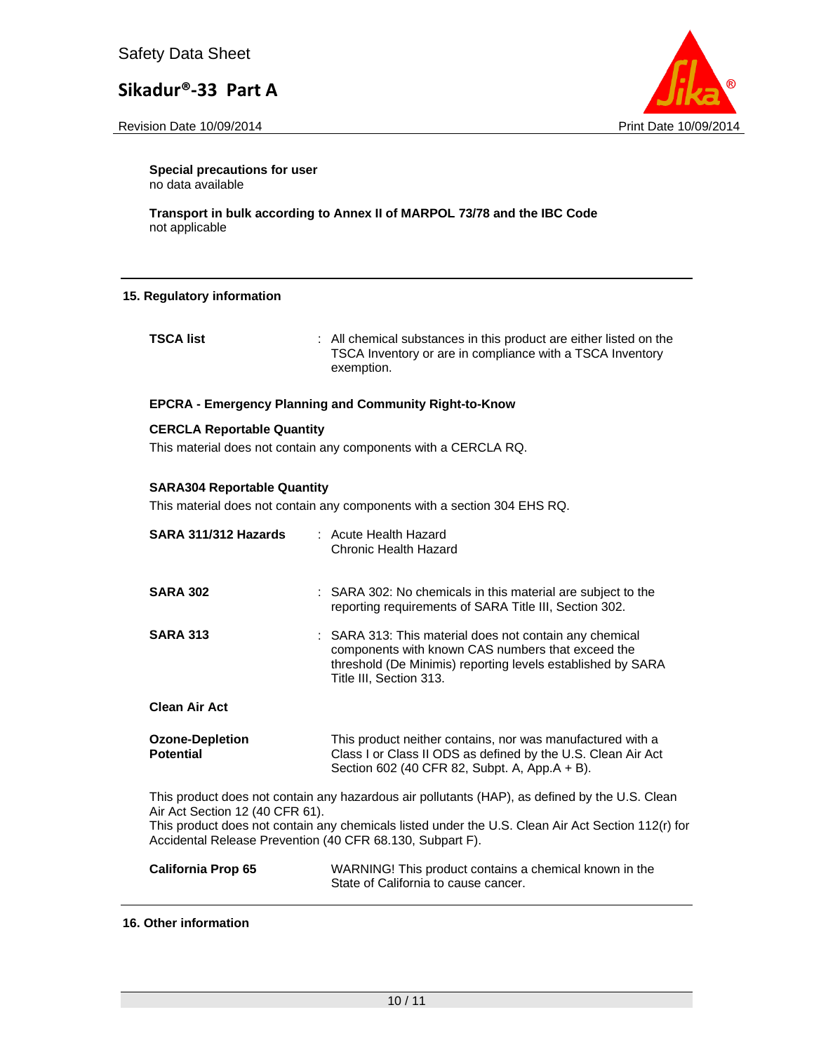Revision Date 10/09/2014 **Print Date 10/09/2014** Print Date 10/09/2014



**Special precautions for user** no data available

**Transport in bulk according to Annex II of MARPOL 73/78 and the IBC Code**  not applicable

#### **15. Regulatory information**

**TSCA list** : All chemical substances in this product are either listed on the TSCA Inventory or are in compliance with a TSCA Inventory exemption.

#### **EPCRA - Emergency Planning and Community Right-to-Know**

#### **CERCLA Reportable Quantity**

This material does not contain any components with a CERCLA RQ.

#### **SARA304 Reportable Quantity**

This material does not contain any components with a section 304 EHS RQ.

| SARA 311/312 Hazards                                                                                                                                                                                                                                                                                 | : Acute Health Hazard<br><b>Chronic Health Hazard</b>                                                                                                                                                  |  |  |  |  |
|------------------------------------------------------------------------------------------------------------------------------------------------------------------------------------------------------------------------------------------------------------------------------------------------------|--------------------------------------------------------------------------------------------------------------------------------------------------------------------------------------------------------|--|--|--|--|
| <b>SARA 302</b>                                                                                                                                                                                                                                                                                      | : SARA 302: No chemicals in this material are subject to the<br>reporting requirements of SARA Title III, Section 302.                                                                                 |  |  |  |  |
| <b>SARA 313</b>                                                                                                                                                                                                                                                                                      | : SARA 313: This material does not contain any chemical<br>components with known CAS numbers that exceed the<br>threshold (De Minimis) reporting levels established by SARA<br>Title III, Section 313. |  |  |  |  |
| <b>Clean Air Act</b>                                                                                                                                                                                                                                                                                 |                                                                                                                                                                                                        |  |  |  |  |
| <b>Ozone-Depletion</b><br><b>Potential</b>                                                                                                                                                                                                                                                           | This product neither contains, nor was manufactured with a<br>Class I or Class II ODS as defined by the U.S. Clean Air Act<br>Section 602 (40 CFR 82, Subpt. A, App.A + B).                            |  |  |  |  |
| This product does not contain any hazardous air pollutants (HAP), as defined by the U.S. Clean<br>Air Act Section 12 (40 CFR 61).<br>This product does not contain any chemicals listed under the U.S. Clean Air Act Section 112(r) for<br>Accidental Release Prevention (40 CFR 68.130, Subpart F). |                                                                                                                                                                                                        |  |  |  |  |
| <b>California Prop 65</b>                                                                                                                                                                                                                                                                            | WARNING! This product contains a chemical known in the<br>State of California to cause cancer.                                                                                                         |  |  |  |  |

#### **16. Other information**